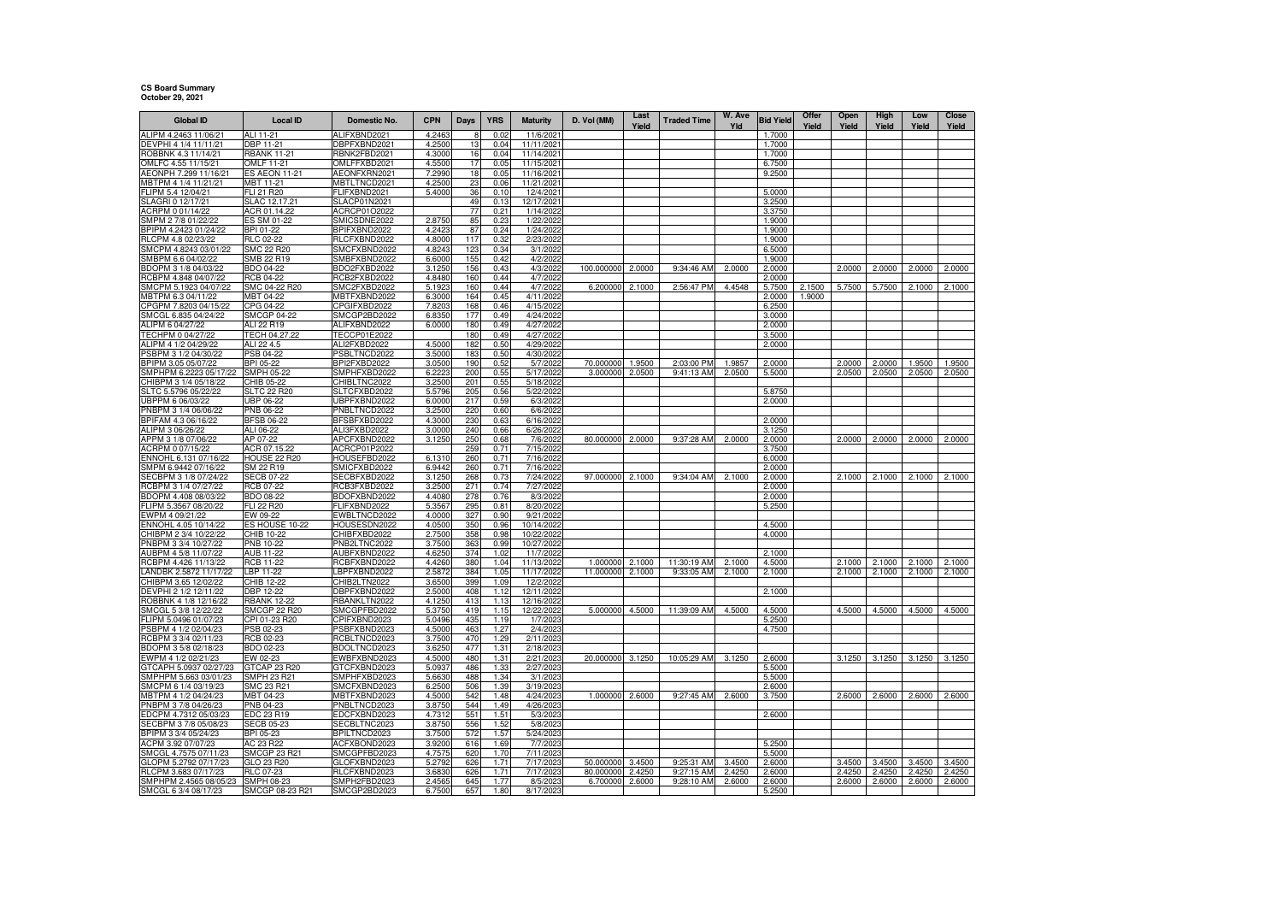## **CS Board Summary October 29, 2021**

| <b>Global ID</b>                                | <b>Local ID</b>                       | Domestic No.                 | <b>CPN</b>       | Days       | <b>YRS</b>   | <b>Maturity</b>         | D. Vol (MM)            | Last<br>Yield    | <b>Traded Time</b>        | W. Ave<br>Yld    | <b>Bid Yield</b> | Offer<br>Yield | Open<br>Yield    | High<br>Yield    | Low<br>Yield     | Close<br>Yield   |
|-------------------------------------------------|---------------------------------------|------------------------------|------------------|------------|--------------|-------------------------|------------------------|------------------|---------------------------|------------------|------------------|----------------|------------------|------------------|------------------|------------------|
| ALIPM 4.2463 11/06/21                           | ALI 11-21                             | ALIFXBND2021                 | 4.2463           |            | 0.02         | 11/6/202                |                        |                  |                           |                  | 1.7000           |                |                  |                  |                  |                  |
| DEVPHI 4 1/4 11/11/21                           | DBP 11-21                             | DBPFXBND2021                 | 4.2500           | 13         | 0.04         | 11/11/2021              |                        |                  |                           |                  | 1.7000           |                |                  |                  |                  |                  |
| ROBBNK 4.3 11/14/21                             | <b>RBANK 11-21</b>                    | RBNK2FBD2021                 | 4.3000           | 16         | 0.04         | 11/14/2021              |                        |                  |                           |                  | 1.7000           |                |                  |                  |                  |                  |
| OMLFC 4.55 11/15/21                             | OMLF 11-21                            | OMLFFXBD2021                 | 4.5500           | 17         | 0.05         | 11/15/2021              |                        |                  |                           |                  | 6.7500           |                |                  |                  |                  |                  |
| AEONPH 7.299 11/16/21<br>MBTPM 4 1/4 11/21/21   | ES AEON 11-21<br>MBT 11-21            | AEONFXRN2021<br>MBTLTNCD2021 | 7.2990<br>4.2500 | 18<br>23   | 0.05<br>0.06 | 11/16/2021<br>11/21/202 |                        |                  |                           |                  | 9.2500           |                |                  |                  |                  |                  |
| FLIPM 5.4 12/04/21                              | FLI 21 R20                            | FLIFXBND2021                 | 5.4000           | 36         | 0.10         | 12/4/202                |                        |                  |                           |                  | 5.0000           |                |                  |                  |                  |                  |
| SLAGRI 0 12/17/21                               | SLAC 12.17.21                         | SLACP01N2021                 |                  | 49         | 0.13         | 12/17/202               |                        |                  |                           |                  | 3.2500           |                |                  |                  |                  |                  |
| ACRPM 0 01/14/22                                | ACR 01.14.22                          | ACRCP01O2022                 |                  | 77         | 0.21         | 1/14/202                |                        |                  |                           |                  | 3.3750           |                |                  |                  |                  |                  |
| SMPM 2 7/8 01/22/22                             | ES SM 01-22                           | SMICSDNE2022                 | 2.8750           | 85         | 0.23         | 1/22/2022               |                        |                  |                           |                  | 1.9000           |                |                  |                  |                  |                  |
| BPIPM 4.2423 01/24/22                           | BPI 01-22                             | BPIFXBND2022                 | 4.2423           | 87         | 0.24         | 1/24/2022               |                        |                  |                           |                  | 1.9000           |                |                  |                  |                  |                  |
| RLCPM 4.8 02/23/22<br>SMCPM 4.8243 03/01/22     | <b>RLC 02-22</b><br><b>SMC 22 R20</b> | RLCFXBND2022<br>SMCFXBND2022 | 4.8000<br>4.8243 | 117<br>123 | 0.32<br>0.34 | 2/23/202<br>3/1/2022    |                        |                  |                           |                  | 1.9000<br>6.5000 |                |                  |                  |                  |                  |
| SMBPM 6.6 04/02/22                              | SMB 22 R19                            | SMBFXBND2022                 | 6.6000           | 155        | 0.42         | 4/2/2022                |                        |                  |                           |                  | 1.9000           |                |                  |                  |                  |                  |
| BDOPM 3 1/8 04/03/22                            | BDO 04-22                             | BDO2FXBD2022                 | 3.1250           | 156        | 0.43         | 4/3/2022                | 100.000000             | 2.0000           | 9:34:46 AM                | 2.0000           | 2.0000           |                | 2.0000           | 2.0000           | 2.0000           | 2.0000           |
| RCBPM 4.848 04/07/22                            | RCB 04-22                             | RCB2FXBD2022                 | 4.8480           | 160        | 0.44         | 4/7/2022                |                        |                  |                           |                  | 2.0000           |                |                  |                  |                  |                  |
| SMCPM 5.1923 04/07/22                           | SMC 04-22 R20                         | SMC2FXBD2022                 | 5.1923           | 160        | 0.44         | 4/7/2022                | 6.200000               | 2.1000           | 2:56:47 PM                | 4.4548           | 5.7500           | 2.1500         | 5.7500           | 5.7500           | 2.1000           | 2.1000           |
| MBTPM 6.3 04/11/22                              | MBT 04-22                             | MBTFXBND2022                 | 6.3000           | 164        | 0.45         | 4/11/2022               |                        |                  |                           |                  | 2.0000           | 1.9000         |                  |                  |                  |                  |
| CPGPM 7.8203 04/15/22<br>SMCGL 6.835 04/24/22   | CPG 04-22<br><b>SMCGP 04-22</b>       | CPGIFXBD2022<br>SMCGP2BD2022 | 7.8203<br>6.8350 | 168<br>177 | 0.46<br>0.49 | 4/15/2022<br>4/24/2022  |                        |                  |                           |                  | 6.2500<br>3.0000 |                |                  |                  |                  |                  |
| ALIPM 6 04/27/22                                | ALI 22 R19                            | ALIFXBND2022                 | 6.0000           | 180        | 0.49         | 4/27/202                |                        |                  |                           |                  | 2.0000           |                |                  |                  |                  |                  |
| TECHPM 0 04/27/22                               | TECH 04.27.22                         | TECCP01E2022                 |                  | 180        | 0.49         | 4/27/202                |                        |                  |                           |                  | 3.5000           |                |                  |                  |                  |                  |
| ALIPM 4 1/2 04/29/22                            | ALI 22 4.5                            | ALI2FXBD2022                 | 4.5000           | 182        | 0.50         | 4/29/2022               |                        |                  |                           |                  | 2.0000           |                |                  |                  |                  |                  |
| PSBPM 3 1/2 04/30/22                            | PSB 04-22                             | PSBLTNCD2022                 | 3.5000           | 183        | 0.50         | 4/30/2022               |                        |                  |                           |                  |                  |                |                  |                  |                  |                  |
| BPIPM 3.05 05/07/22                             | BPI 05-22                             | BPI2FXBD2022                 | 3.0500           | 190        | 0.52         | 5/7/2022                | 70.000000              | 1.9500           | 2:03:00 PM                | 1.9857           | 2.0000           |                | 2.0000           | 2.0000           | 1.9500           | 1.9500           |
| SMPHPM 6.2223 05/17/22<br>CHIBPM 3 1/4 05/18/22 | <b>SMPH 05-22</b><br>CHIB 05-22       | SMPHFXBD2022<br>CHIBLTNC2022 | 6.2223<br>3.2500 | 200<br>201 | 0.55<br>0.55 | 5/17/202<br>5/18/202    | 3.000000               | 2.0500           | 9:41:13 AM                | 2.0500           | 5.5000           |                | 2.0500           | 2.0500           | 2.0500           | 2.0500           |
| SLTC 5.5796 05/22/22                            | SLTC 22 R20                           | SLTCFXBD2022                 | 5.5796           | 205        | 0.56         | 5/22/2022               |                        |                  |                           |                  | 5.8750           |                |                  |                  |                  |                  |
| UBPPM 6 06/03/22                                | JBP 06-22                             | UBPFXBND2022                 | 6.0000           | 217        | 0.59         | 6/3/2022                |                        |                  |                           |                  | 2.0000           |                |                  |                  |                  |                  |
| PNBPM 3 1/4 06/06/22                            | PNB 06-22                             | PNBLTNCD2022                 | 3.2500           | 220        | 0.60         | 6/6/2022                |                        |                  |                           |                  |                  |                |                  |                  |                  |                  |
| BPIFAM 4.3 06/16/22                             | <b>BFSB 06-22</b>                     | BFSBFXBD2022                 | 4.3000           | 230        | 0.63         | 6/16/202                |                        |                  |                           |                  | 2.0000           |                |                  |                  |                  |                  |
| ALIPM 3 06/26/22                                | ALI 06-22                             | ALI3FXBD2022                 | 3.0000           | 240        | 0.66         | 6/26/2022               |                        |                  |                           |                  | 3.1250           |                |                  |                  |                  |                  |
| APPM 3 1/8 07/06/22<br>ACRPM 0 07/15/22         | AP 07-22<br>ACR 07.15.22              | APCFXBND2022<br>ACRCP01P2022 | 3.1250           | 250<br>259 | 0.68<br>0.71 | 7/6/2022<br>7/15/2022   | 80.000000              | 2.0000           | 9:37:28 AM                | 2.0000           | 2.0000<br>3.7500 |                | 2.0000           | 2.0000           | 2.0000           | 2.0000           |
| ENNOHL 6.131 07/16/22                           | <b>HOUSE 22 R20</b>                   | HOUSEFBD2022                 | 6.1310           | 260        | 0.71         | 7/16/2022               |                        |                  |                           |                  | 6.0000           |                |                  |                  |                  |                  |
| SMPM 6.9442 07/16/22                            | SM 22 R19                             | SMICFXBD2022                 | 6.9442           | 260        | 0.71         | 7/16/2022               |                        |                  |                           |                  | 2.0000           |                |                  |                  |                  |                  |
| SECBPM 3 1/8 07/24/22                           | <b>SECB 07-22</b>                     | SECBFXBD2022                 | 3.1250           | 268        | 0.73         | 7/24/2022               | 97.000000              | 2.1000           | 9:34:04 AM                | 2.1000           | 2.0000           |                | 2.1000           | 2.1000           | 2.1000           | 2.1000           |
| RCBPM 3 1/4 07/27/22                            | RCB 07-22                             | RCB3FXBD2022                 | 3.2500           | 271        | 0.74         | 7/27/2022               |                        |                  |                           |                  | 2.0000           |                |                  |                  |                  |                  |
| BDOPM 4.408 08/03/22                            | 3DO 08-22                             | BDOFXBND2022                 | 4.4080           | 278        | 0.76         | 8/3/2022                |                        |                  |                           |                  | 2.0000           |                |                  |                  |                  |                  |
| FLIPM 5.3567 08/20/22<br>EWPM 4 09/21/22        | FLI 22 R20<br>EW 09-22                | FLIFXBND2022<br>EWBLTNCD2022 | 5.3567<br>4.0000 | 295<br>327 | 0.81<br>0.90 | 8/20/202<br>9/21/202    |                        |                  |                           |                  | 5.2500           |                |                  |                  |                  |                  |
| ENNOHL 4.05 10/14/22                            | ES HOUSE 10-22                        | HOUSESDN2022                 | 4.0500           | 350        | 0.96         | 10/14/2022              |                        |                  |                           |                  | 4.5000           |                |                  |                  |                  |                  |
| CHIBPM 2 3/4 10/22/22                           | CHIB 10-22                            | CHIBFXBD2022                 | 2.7500           | 358        | 0.98         | 10/22/202               |                        |                  |                           |                  | 4.0000           |                |                  |                  |                  |                  |
| PNBPM 3 3/4 10/27/22                            | PNB 10-22                             | PNB2LTNC2022                 | 3.7500           | 363        | 0.99         | 10/27/2022              |                        |                  |                           |                  |                  |                |                  |                  |                  |                  |
| AUBPM 4 5/8 11/07/22                            | AUB 11-22                             | AUBFXBND2022                 | 4.6250           | 374        | 1.02         | 11/7/2022               |                        |                  |                           |                  | 2.1000           |                |                  |                  |                  |                  |
| RCBPM 4.426 11/13/22<br>LANDBK 2.5872 11/17/22  | <b>RCB 11-22</b><br>LBP 11-22         | RCBFXBND2022<br>LBPFXBND2022 | 4.4260<br>2.5872 | 380<br>384 | 1.04<br>1.05 | 11/13/202<br>11/17/202  | 1.000000<br>11.000000  | 2.1000<br>2.1000 | 11:30:19 AM<br>9:33:05 AM | 2.1000<br>2.1000 | 4.5000<br>2.1000 |                | 2.1000<br>2.1000 | 2.1000<br>2.1000 | 2.1000<br>2.1000 | 2.1000<br>2.1000 |
| CHIBPM 3.65 12/02/22                            | CHIB 12-22                            | CHIB2LTN2022                 | 3.6500           | 399        | 1.09         | 12/2/2022               |                        |                  |                           |                  |                  |                |                  |                  |                  |                  |
| DEVPHI 2 1/2 12/11/22                           | <b>DBP 12-22</b>                      | DBPFXBND2022                 | 2.5000           | 408        | 1.12         | 12/11/202               |                        |                  |                           |                  | 2.1000           |                |                  |                  |                  |                  |
| ROBBNK 4 1/8 12/16/22                           | <b>RBANK 12-22</b>                    | RBANKLTN2022                 | 4.1250           | 413        | 1.13         | 12/16/2022              |                        |                  |                           |                  |                  |                |                  |                  |                  |                  |
| SMCGL 5 3/8 12/22/22                            | SMCGP 22 R20                          | SMCGPFBD2022                 | 5.3750           | 419        | 1.15         | 12/22/2022              | 5.000000               | 4.5000           | 11:39:09 AM               | 4.5000           | 4.5000           |                | 4.5000           | 4.5000           | 4.5000           | 4.5000           |
| FLIPM 5.0496 01/07/23                           | CPI 01-23 R20                         | CPIFXBND2023                 | 5.0496           | 435        | 1.19         | 1/7/2023                |                        |                  |                           |                  | 5.2500           |                |                  |                  |                  |                  |
| PSBPM 4 1/2 02/04/23<br>RCBPM 3 3/4 02/11/23    | PSB 02-23<br>RCB 02-23                | PSBFXBND2023<br>RCBLTNCD2023 | 4.5000<br>3.7500 | 463<br>470 | 1.27<br>1.29 | 2/4/2023<br>2/11/2023   |                        |                  |                           |                  | 4.7500           |                |                  |                  |                  |                  |
| BDOPM 3 5/8 02/18/23                            | BDO 02-23                             | BDOLTNCD2023                 | 3.6250           | 477        | 1.31         | 2/18/2023               |                        |                  |                           |                  |                  |                |                  |                  |                  |                  |
| EWPM 4 1/2 02/21/23                             | EW 02-23                              | EWBFXBND2023                 | 4.5000           | 480        | 1.31         | 2/21/2023               | 20.000000              | 3.1250           | 10:05:29 AM               | 3.1250           | 2.6000           |                | 3.1250           | 3.1250           | 3.1250           | 3.1250           |
| GTCAPH 5.0937 02/27/23                          | GTCAP 23 R20                          | GTCFXBND2023                 | 5.0937           | 486        | 1.33         | 2/27/2023               |                        |                  |                           |                  | 5.5000           |                |                  |                  |                  |                  |
| SMPHPM 5.663 03/01/23                           | SMPH 23 R21                           | SMPHFXBD2023                 | 5.6630           | 488        | 1.34         | 3/1/202                 |                        |                  |                           |                  | 5.5000           |                |                  |                  |                  |                  |
| SMCPM 6 1/4 03/19/23                            | SMC 23 R21                            | SMCFXBND2023                 | 6.2500           | 506        | 1.39         | 3/19/202                |                        |                  |                           |                  | 2.6000           |                |                  |                  |                  |                  |
| MBTPM 4 1/2 04/24/23<br>PNBPM 3 7/8 04/26/23    | MBT 04-23<br>PNB 04-23                | MBTFXBND2023<br>PNBLTNCD2023 | 4.5000<br>3.8750 | 542<br>544 | 1.48<br>1.49 | 4/24/2023<br>4/26/2023  | 1.000000               | 2.6000           | 9:27:45 AM                | 2.6000           | 3.7500           |                | 2.6000           | 2.6000           | 2.6000           | 2.6000           |
| EDCPM 4.7312 05/03/23                           | EDC 23 R19                            | EDCFXBND2023                 | 4.7312           | 551        | 1.51         | 5/3/202                 |                        |                  |                           |                  | 2.6000           |                |                  |                  |                  |                  |
| SECBPM 3 7/8 05/08/23                           | SECB 05-23                            | SECBLTNC2023                 | 3.8750           | 556        | 1.52         | 5/8/202                 |                        |                  |                           |                  |                  |                |                  |                  |                  |                  |
| BPIPM 3 3/4 05/24/23                            | BPI 05-23                             | BPILTNCD2023                 | 3.7500           | 572        | 1.57         | 5/24/2023               |                        |                  |                           |                  |                  |                |                  |                  |                  |                  |
| ACPM 3.92 07/07/23                              | AC 23 R22                             | ACFXBOND2023                 | 3.9200           | 616        | 1.69         | 7/7/202                 |                        |                  |                           |                  | 5.2500           |                |                  |                  |                  |                  |
| SMCGL 4.7575 07/11/23                           | SMCGP 23 R21                          | SMCGPFBD2023                 | 4.7575           | 620        | 1.70         | 7/11/202                |                        |                  |                           |                  | 5.5000           |                |                  |                  |                  |                  |
| GLOPM 5.2792 07/17/23<br>RLCPM 3.683 07/17/23   | GLO 23 R20<br>RLC 07-23               | GLOFXBND2023<br>RLCFXBND2023 | 5.2792<br>3.6830 | 626<br>626 | 1.71<br>1.71 | 7/17/2023<br>7/17/202   | 50.000000<br>80.000000 | 3.4500<br>2.4250 | 9:25:31 AM<br>9:27:15 AM  | 3.4500<br>2.4250 | 2.6000<br>2.6000 |                | 3.4500<br>2.4250 | 3.4500<br>2.4250 | 3.4500<br>2.4250 | 3.4500<br>2.4250 |
| SMPHPM 2.4565 08/05/23                          | SMPH 08-23                            | SMPH2FBD2023                 | 2.4565           | 645        | 1.77         | 8/5/202                 | 6.700000               | 2.6000           | 9:28:10 AM                | 2.6000           | 2.6000           |                | 2.6000           | 2.6000           | 2.6000           | 2.6000           |
| SMCGL 6 3/4 08/17/23                            | SMCGP 08-23 R21                       | SMCGP2BD2023                 | 6.7500           | 657        | 1.80         | 8/17/2023               |                        |                  |                           |                  | 5.2500           |                |                  |                  |                  |                  |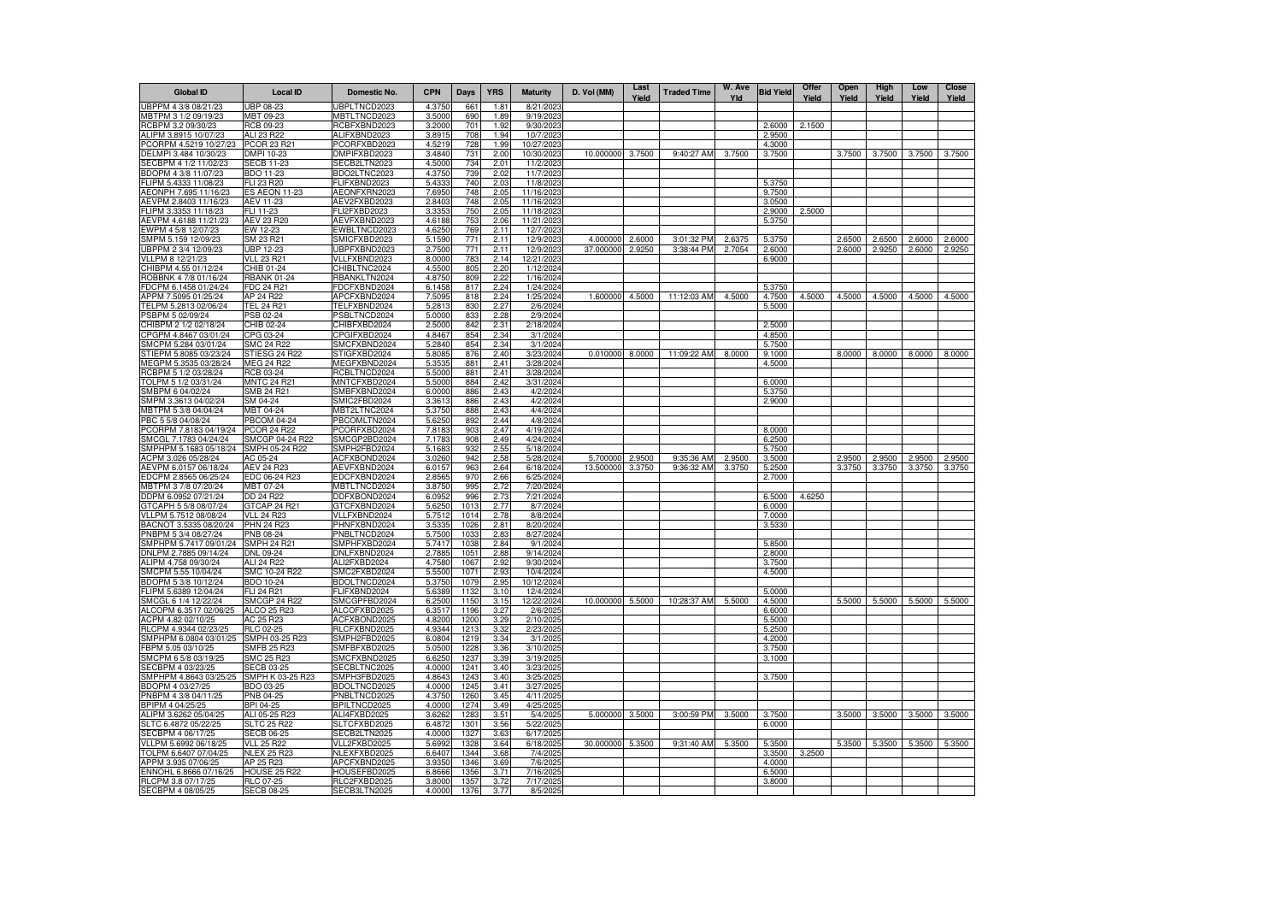| <b>Global ID</b>                                | <b>Local ID</b>                       | Domestic No.                 | <b>CPN</b>       | Days         | <b>YRS</b>   | <b>Maturity</b>          | D. Vol (MM) | Last<br>Yield | <b>Traded Time</b> | W. Ave<br>Yld | <b>Bid Yield</b> | Offer<br>Yield | Open<br>Yield | High<br>Yield | Low<br>Yield | <b>Close</b><br>Yield |
|-------------------------------------------------|---------------------------------------|------------------------------|------------------|--------------|--------------|--------------------------|-------------|---------------|--------------------|---------------|------------------|----------------|---------------|---------------|--------------|-----------------------|
| UBPPM 4 3/8 08/21/23                            | <b>UBP 08-23</b>                      | JBPLTNCD2023                 | 4.3750           | 66           | 1.81         | 8/21/202                 |             |               |                    |               |                  |                |               |               |              |                       |
| MBTPM 3 1/2 09/19/23                            | MBT 09-23                             | <b>MBTLTNCD2023</b>          | 3.5000           | 690          | 1.89         | 9/19/2023                |             |               |                    |               |                  |                |               |               |              |                       |
| RCBPM 3.2 09/30/23                              | RCB 09-23                             | RCBFXBND2023                 | 3.2000           | 701          | 1.92         | 9/30/2023                |             |               |                    |               | 2.6000           | 2.1500         |               |               |              |                       |
| ALIPM 3.8915 10/07/23<br>PCORPM 4.5219 10/27/23 | ALI 23 R22<br><b>PCOR 23 R2</b>       | ALIFXBND2023<br>PCORFXBD2023 | 3.8915<br>4.5219 | 708<br>728   | 1.94<br>1.99 | 10/7/2023<br>10/27/2023  |             |               |                    |               | 2.9500<br>4.3000 |                |               |               |              |                       |
| DELMPI 3.484 10/30/23                           | DMPI 10-23                            | DMPIFXBD2023                 | 3.4840           | 731          | 2.00         | 10/30/2023               | 10.000000   | 3.7500        | 9:40:27 AM         | 3.7500        | 3.7500           |                | 3.7500        | 3.7500        | 3.7500       | 3.7500                |
| SECBPM 4 1/2 11/02/23                           | <b>SECB 11-23</b>                     | SECB2LTN2023                 | 4.5000           | 734          | 2.01         | 11/2/2023                |             |               |                    |               |                  |                |               |               |              |                       |
| BDOPM 4 3/8 11/07/23                            | BDO 11-23                             | BDO2LTNC2023                 | 4.3750           | 739          | 2.02         | 11/7/2023                |             |               |                    |               |                  |                |               |               |              |                       |
| FLIPM 5.4333 11/08/23                           | FLI 23 R20                            | FLIFXBND2023                 | 5.4333           | 740          | 2.03         | 11/8/2023                |             |               |                    |               | 5.3750           |                |               |               |              |                       |
| AEONPH 7.695 11/16/23                           | <b>ES AEON 11-23</b>                  | AEONFXRN2023                 | 7.6950           | 748          | 2.05         | 11/16/2023               |             |               |                    |               | 9.7500           |                |               |               |              |                       |
| AEVPM 2.8403 11/16/23                           | AEV 11-23                             | AEV2FXBD2023                 | 2.8403           | 748          | 2.05         | 11/16/2023               |             |               |                    |               | 3.0500           |                |               |               |              |                       |
| FLIPM 3.3353 11/18/23<br>AEVPM 4.6188 11/21/23  | FLI 11-23<br>AEV 23 R20               | FLI2FXBD2023<br>AEVFXBND2023 | 3.3353<br>4.6188 | 750<br>753   | 2.05<br>2.06 | 11/18/2023<br>11/21/2023 |             |               |                    |               | 2.9000<br>5.3750 | 2.5000         |               |               |              |                       |
| EWPM 4 5/8 12/07/23                             | EW 12-23                              | EWBLTNCD2023                 | 4.6250           | 769          | 2.11         | 12/7/2023                |             |               |                    |               |                  |                |               |               |              |                       |
| SMPM 5.159 12/09/23                             | SM 23 R21                             | SMICFXBD2023                 | 5.1590           | 771          | 2.11         | 12/9/2023                | 4.000000    | 2,6000        | 3:01:32 PM         | 2.6375        | 5.3750           |                | 2.6500        | 2.6500        | 2.6000       | 2.6000                |
| UBPPM 2 3/4 12/09/23                            | UBP 12-23                             | UBPFXBND2023                 | 2.7500           | 771          | 2.11         | 12/9/2023                | 37.000000   | 2.9250        | 3:38:44 PM         | 2.7054        | 2.6000           |                | 2.6000        | 2.9250        | 2.6000       | 2.9250                |
| VLLPM 8 12/21/23                                | <b>VLL 23 R21</b>                     | VLLFXBND2023                 | 8.0000           | 783          | 2.14         | 12/21/2023               |             |               |                    |               | 6.9000           |                |               |               |              |                       |
| CHIBPM 4.55 01/12/24                            | CHIB 01-24                            | CHIBLTNC2024                 | 4.5500           | 805          | 2.20         | 1/12/2024                |             |               |                    |               |                  |                |               |               |              |                       |
| ROBBNK 4 7/8 01/16/24                           | <b>RBANK 01-24</b>                    | RBANKLTN2024                 | 4.8750           | 809          | 2.22         | 1/16/2024                |             |               |                    |               |                  |                |               |               |              |                       |
| FDCPM 6.1458 01/24/24                           | FDC 24 R21                            | FDCFXBND2024                 | 6.1458           | 817          | 2.24         | 1/24/2024                |             |               |                    |               | 5.3750           |                |               |               |              |                       |
| APPM 7.5095 01/25/24<br>TELPM 5.2813 02/06/24   | AP 24 R22<br>TEL 24 R21               | APCFXBND2024<br>TELFXBND2024 | 7.5095<br>5.2813 | 818<br>830   | 2.24<br>2.27 | 1/25/2024<br>2/6/2024    | 1.600000    | 4.5000        | 11:12:03 AM        | 4.5000        | 4.7500<br>5.5000 | 4.5000         | 4.5000        | 4.5000        | 4.5000       | 4.5000                |
| PSBPM 5 02/09/24                                | PSB 02-24                             | PSBLTNCD2024                 | 5.0000           | 833          | 2.28         | 2/9/2024                 |             |               |                    |               |                  |                |               |               |              |                       |
| CHIBPM 2 1/2 02/18/24                           | CHIB 02-24                            | CHIBFXBD2024                 | 2.5000           | 842          | 2.31         | 2/18/2024                |             |               |                    |               | 2.5000           |                |               |               |              |                       |
| CPGPM 4.8467 03/01/24                           | CPG 03-24                             | CPGIFXBD2024                 | 4.8467           | 854          | 2.34         | 3/1/2024                 |             |               |                    |               | 4.8500           |                |               |               |              |                       |
| SMCPM 5.284 03/01/24                            | SMC 24 R22                            | SMCFXBND2024                 | 5.2840           | 854          | 2.34         | 3/1/2024                 |             |               |                    |               | 5.7500           |                |               |               |              |                       |
| STIEPM 5.8085 03/23/24                          | STIESG 24 R22                         | STIGFXBD2024                 | 5.8085           | 876          | 2.40         | 3/23/2024                | 0.010000    | 8.0000        | 11:09:22 AM        | 8.0000        | 9.1000           |                | 8.0000        | 8.0000        | 8.0000       | 8.0000                |
| MEGPM 5.3535 03/28/24                           | MEG 24 R22                            | MEGFXBND2024                 | 5.3535           | 881          | 2.41         | 3/28/2024                |             |               |                    |               | 4.5000           |                |               |               |              |                       |
| RCBPM 5 1/2 03/28/24                            | RCB 03-24                             | RCBLTNCD2024                 | 5.5000           | 881          | 2.41         | 3/28/2024                |             |               |                    |               |                  |                |               |               |              |                       |
| TOLPM 5 1/2 03/31/24<br>SMBPM 6 04/02/24        | <b>MNTC 24 R21</b>                    | <b>MNTCFXBD2024</b>          | 5.5000           | 884          | 2.42         | 3/31/2024                |             |               |                    |               | 6.0000           |                |               |               |              |                       |
| SMPM 3.3613 04/02/24                            | SMB 24 R21<br>SM 04-24                | SMBFXBND2024<br>SMIC2FBD2024 | 6.0000<br>3.3613 | 886<br>886   | 2.43<br>2.43 | 4/2/2024<br>4/2/2024     |             |               |                    |               | 5.3750<br>2.9000 |                |               |               |              |                       |
| MBTPM 5 3/8 04/04/24                            | MBT 04-24                             | <b>MBT2LTNC2024</b>          | 5.3750           | 888          | 2.43         | 4/4/2024                 |             |               |                    |               |                  |                |               |               |              |                       |
| PBC 5 5/8 04/08/24                              | <b>PBCOM 04-24</b>                    | PBCOMLTN2024                 | 5.6250           | 892          | 2.44         | 4/8/2024                 |             |               |                    |               |                  |                |               |               |              |                       |
| PCORPM 7.8183 04/19/24                          | <b>PCOR 24 R22</b>                    | PCORFXBD2024                 | 7.8183           | 903          | 2.47         | 4/19/2024                |             |               |                    |               | 8.0000           |                |               |               |              |                       |
| SMCGL 7.1783 04/24/24                           | SMCGP 04-24 R22                       | SMCGP2BD2024                 | 7.1783           | 908          | 2.49         | 4/24/2024                |             |               |                    |               | 6.2500           |                |               |               |              |                       |
| SMPHPM 5.1683 05/18/24                          | SMPH 05-24 R22                        | SMPH2FBD2024                 | 5.1683           | 932          | 2.55         | 5/18/2024                |             |               |                    |               | 5.7500           |                |               |               |              |                       |
| ACPM 3.026 05/28/24                             | AC 05-24                              | ACFXBOND2024                 | 3.0260           | 942          | 2.58         | 5/28/2024                | 5.700000    | 2.9500        | 9:35:36 AM         | 2.9500        | 3.5000           |                | 2.9500        | 2.9500        | 2.9500       | 2.9500                |
| AEVPM 6.0157 06/18/24<br>EDCPM 2.8565 06/25/24  | <b>AEV 24 R23</b><br>EDC 06-24 R23    | AEVFXBND2024<br>EDCFXBND2024 | 6.0157<br>2.8565 | 963<br>970   | 2.64<br>2.66 | 6/18/2024<br>6/25/2024   | 13.500000   | 3.3750        | 9:36:32 AM         | 3.3750        | 5.2500<br>2.7000 |                | 3.3750        | 3.3750        | 3.3750       | 3.3750                |
| MBTPM 3 7/8 07/20/24                            | MBT 07-24                             | <b>MBTLTNCD2024</b>          | 3.8750           | 995          | 2.72         | 7/20/2024                |             |               |                    |               |                  |                |               |               |              |                       |
| DDPM 6.0952 07/21/24                            | DD 24 R22                             | DDFXBOND2024                 | 6.0952           | 996          | 2.73         | 7/21/2024                |             |               |                    |               | 6.5000           | 4.6250         |               |               |              |                       |
| GTCAPH 5 5/8 08/07/24                           | GTCAP 24 R21                          | GTCFXBND2024                 | 5.6250           | 1013         | 2.77         | 8/7/2024                 |             |               |                    |               | 6.0000           |                |               |               |              |                       |
| VLLPM 5.7512 08/08/24                           | <b>VLL 24 R23</b>                     | VLLFXBND2024                 | 5.7512           | 1014         | 2.78         | 8/8/2024                 |             |               |                    |               | 7.0000           |                |               |               |              |                       |
| BACNOT 3.5335 08/20/24                          | PHN 24 R23                            | PHNFXBND2024                 | 3.5335           | 1026         | 2.81         | 8/20/2024                |             |               |                    |               | 3.5330           |                |               |               |              |                       |
| PNBPM 5 3/4 08/27/24                            | <b>PNB 08-24</b>                      | PNBLTNCD2024                 | 5.7500           | 1033         | 2.83         | 8/27/2024                |             |               |                    |               |                  |                |               |               |              |                       |
| SMPHPM 5.7417 09/01/24<br>DNLPM 2.7885 09/14/24 | <b>SMPH 24 R21</b><br>DNL 09-24       | SMPHFXBD2024<br>DNLFXBND2024 | 5.7417<br>2.7885 | 1038<br>1051 | 2.84<br>2.88 | 9/1/2024<br>9/14/2024    |             |               |                    |               | 5.8500<br>2.8000 |                |               |               |              |                       |
| ALIPM 4.758 09/30/24                            | ALI 24 R22                            | ALI2FXBD2024                 | 4.7580           | 1067         | 2.92         | 9/30/2024                |             |               |                    |               | 3.7500           |                |               |               |              |                       |
| SMCPM 5.55 10/04/24                             | SMC 10-24 R22                         | SMC2FXBD2024                 | 5.5500           | 1071         | 2.93         | 10/4/2024                |             |               |                    |               | 4.5000           |                |               |               |              |                       |
| BDOPM 5 3/8 10/12/24                            | BDO 10-24                             | BDOLTNCD2024                 | 5.3750           | 1079         | 2.95         | 10/12/2024               |             |               |                    |               |                  |                |               |               |              |                       |
| FLIPM 5.6389 12/04/24                           | FLI 24 R21                            | FLIFXBND2024                 | 5.6389           | 1132         | 3.10         | 12/4/2024                |             |               |                    |               | 5.0000           |                |               |               |              |                       |
| SMCGL 6 1/4 12/22/24                            | <b>SMCGP 24 R22</b>                   | SMCGPFBD2024                 | 6.2500           | 1150         | 3.15         | 12/22/2024               | 10.000000   | 5.5000        | 10:28:37 AM        | 5.5000        | 4.5000           |                | 5.5000        | 5.5000        | 5.5000       | 5.5000                |
| ALCOPM 6.3517 02/06/25                          | ALCO 25 R23                           | ALCOFXBD2025                 | 6.3517           | 1196         | 3.27         | 2/6/2025                 |             |               |                    |               | 6.6000           |                |               |               |              |                       |
| ACPM 4.82 02/10/25<br>RLCPM 4.9344 02/23/25     | AC 25 R23<br><b>RLC 02-25</b>         | ACFXBOND2025<br>RLCFXBND2025 | 4.8200<br>4.9344 | 1200<br>1213 | 3.29<br>3.32 | 2/10/2025<br>2/23/2025   |             |               |                    |               | 5.5000<br>5.2500 |                |               |               |              |                       |
| SMPHPM 6.0804 03/01/25                          | SMPH 03-25 R23                        | SMPH2FBD2025                 | 6.0804           | 1219         | 3.34         | 3/1/2025                 |             |               |                    |               | 4.2000           |                |               |               |              |                       |
| FBPM 5.05 03/10/25                              | <b>SMFB 25 R23</b>                    | SMFBFXBD2025                 | 5.0500           | 1228         | 3.36         | 3/10/2025                |             |               |                    |               | 3.7500           |                |               |               |              |                       |
| SMCPM 6 5/8 03/19/25                            | SMC 25 R23                            | SMCFXBND2025                 | 6.6250           | 1237         | 3.39         | 3/19/2025                |             |               |                    |               | 3.1000           |                |               |               |              |                       |
| SECBPM 4 03/23/25                               | <b>SECB 03-25</b>                     | SECBLTNC2025                 | 4.0000           | 1241         | 3.40         | 3/23/2025                |             |               |                    |               |                  |                |               |               |              |                       |
| SMPHPM 4.8643 03/25/25 SMPH K 03-25 R23         |                                       | SMPH3FBD2025                 | 4.8643           | 1243         | 3.40         | 3/25/2025                |             |               |                    |               | 3.7500           |                |               |               |              |                       |
| BDOPM 4 03/27/25                                | BDO 03-25                             | BDOLTNCD2025                 | 4.0000           | 1245         | 3.41         | 3/27/2025                |             |               |                    |               |                  |                |               |               |              |                       |
| PNBPM 4 3/8 04/11/25                            | PNB 04-25<br>BPI 04-25                | PNBLTNCD2025<br>BPILTNCD2025 | 4.3750<br>4.0000 | 1260<br>1274 | 3.45<br>3.49 | 4/11/2025<br>4/25/2025   |             |               |                    |               |                  |                |               |               |              |                       |
| BPIPM 4 04/25/25<br>ALIPM 3.6262 05/04/25       | ALI 05-25 R23                         | ALI4FXBD2025                 | 3.6262           | 1283         | 3.51         | 5/4/2025                 | 5.000000    | 3.5000        | 3:00:59 PM         | 3.5000        | 3.7500           |                | 3.5000        | 3.5000        | 3.5000       | 3.5000                |
| SLTC 6.4872 05/22/25                            | <b>SLTC 25 R22</b>                    | SLTCFXBD2025                 | 6.4872           | 1301         | 3.56         | 5/22/2025                |             |               |                    |               | 6.0000           |                |               |               |              |                       |
| SECBPM 4 06/17/25                               | <b>SECB 06-25</b>                     | SECB2LTN2025                 | 4.0000           | 1327         | 3.63         | 6/17/2025                |             |               |                    |               |                  |                |               |               |              |                       |
| VLLPM 5.6992 06/18/25                           | <b>VLL 25 R22</b>                     | VLL2FXBD2025                 | 5.6992           | 1328         | 3.64         | 6/18/2025                | 30.000000   | 5.3500        | 9:31:40 AM         | 5.3500        | 5.3500           |                | 5.3500        | 5.3500        | 5.3500       | 5.3500                |
| TOLPM 6.6407 07/04/25                           | <b>NLEX 25 R23</b>                    | NLEXFXBD2025                 | 6.6407           | 1344         | 3.68         | 7/4/2025                 |             |               |                    |               | 3.3500           | 3.2500         |               |               |              |                       |
| APPM 3.935 07/06/25                             | AP 25 R23                             | APCFXBND2025                 | 3.9350           | 1346         | 3.69         | 7/6/2025                 |             |               |                    |               | 4.0000           |                |               |               |              |                       |
| ENNOHL 6.8666 07/16/25                          | <b>HOUSE 25 R22</b>                   | HOUSEFBD2025                 | 6.8666           | 1356         | 3.71<br>3.72 | 7/16/2025<br>7/17/2025   |             |               |                    |               | 6.5000           |                |               |               |              |                       |
| RLCPM 3.8 07/17/25<br>SECBPM 4 08/05/25         | <b>RLC 07-25</b><br><b>SECB 08-25</b> | RLC2FXBD2025<br>SECB3LTN2025 | 3.8000<br>4.0000 | 1357<br>1376 | 3.77         | 8/5/2025                 |             |               |                    |               | 3.8000           |                |               |               |              |                       |
|                                                 |                                       |                              |                  |              |              |                          |             |               |                    |               |                  |                |               |               |              |                       |